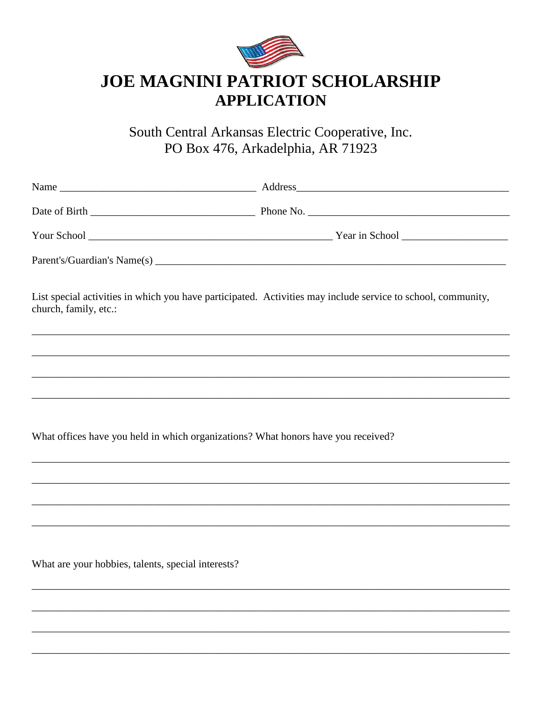

South Central Arkansas Electric Cooperative, Inc. PO Box 476, Arkadelphia, AR 71923

| church, family, etc.:                                                             | List special activities in which you have participated. Activities may include service to school, community, |
|-----------------------------------------------------------------------------------|--------------------------------------------------------------------------------------------------------------|
|                                                                                   |                                                                                                              |
|                                                                                   | ,我们也不会有什么。""我们的人,我们也不会有什么?""我们的人,我们也不会有什么?""我们的人,我们也不会有什么?""我们的人,我们也不会有什么?""我们的人                             |
|                                                                                   |                                                                                                              |
|                                                                                   |                                                                                                              |
| What offices have you held in which organizations? What honors have you received? |                                                                                                              |
|                                                                                   |                                                                                                              |
|                                                                                   |                                                                                                              |
|                                                                                   |                                                                                                              |
|                                                                                   |                                                                                                              |
| What are your hobbies, talents, special interests?                                |                                                                                                              |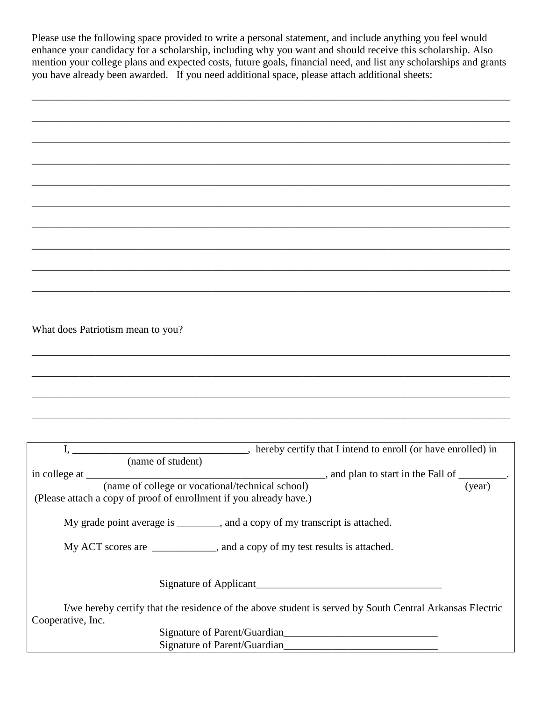Please use the following space provided to write a personal statement, and include anything you feel would enhance your candidacy for a scholarship, including why you want and should receive this scholarship. Also mention your college plans and expected costs, future goals, financial need, and list any scholarships and grants you have already been awarded. If you need additional space, please attach additional sheets:

\_\_\_\_\_\_\_\_\_\_\_\_\_\_\_\_\_\_\_\_\_\_\_\_\_\_\_\_\_\_\_\_\_\_\_\_\_\_\_\_\_\_\_\_\_\_\_\_\_\_\_\_\_\_\_\_\_\_\_\_\_\_\_\_\_\_\_\_\_\_\_\_\_\_\_\_\_\_\_\_\_\_\_\_\_\_\_\_\_\_

| What does Patriotism mean to you?                                                                                             |  |
|-------------------------------------------------------------------------------------------------------------------------------|--|
|                                                                                                                               |  |
|                                                                                                                               |  |
|                                                                                                                               |  |
|                                                                                                                               |  |
|                                                                                                                               |  |
|                                                                                                                               |  |
|                                                                                                                               |  |
|                                                                                                                               |  |
|                                                                                                                               |  |
| (Please attach a copy of proof of enrollment if you already have.)                                                            |  |
| My grade point average is _______, and a copy of my transcript is attached.                                                   |  |
| My ACT scores are _____________, and a copy of my test results is attached.                                                   |  |
| Signature of Applicant<br><u>Signature of Applicant</u>                                                                       |  |
| I/we hereby certify that the residence of the above student is served by South Central Arkansas Electric<br>Cooperative, Inc. |  |

Signature of Parent/Guardian Signature of Parent/Guardian